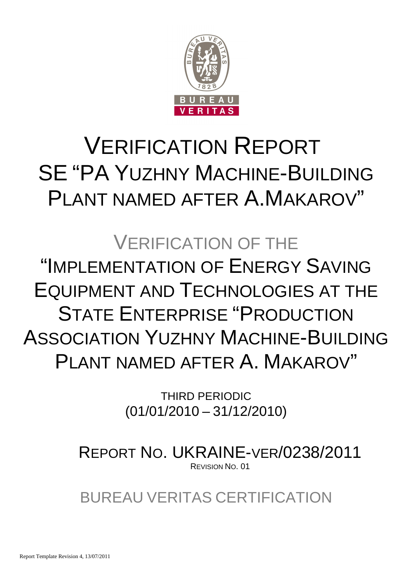

# VERIFICATION REPORT SE "PA YUZHNY MACHINE-BUILDING PLANT NAMED AFTER A.MAKAROV"

# VERIFICATION OF THE "IMPLEMENTATION OF ENERGY SAVING EQUIPMENT AND TECHNOLOGIES AT THE STATE ENTERPRISE "PRODUCTION ASSOCIATION YUZHNY MACHINE-BUILDING PLANT NAMED AFTER A. MAKAROV"

THIRD PERIODIC (01/01/2010 – 31/12/2010)

REPORT NO. UKRAINE-VER/0238/2011 REVISION NO. 01

BUREAU VERITAS CERTIFICATION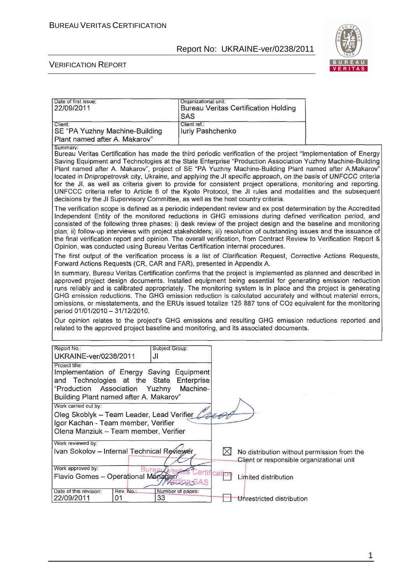

#### VERIFICATION REPORT

| Date of first issue:<br>22/09/2011                                                                                                                                             | Organizational unit:<br><b>Bureau Veritas Certification Holding</b><br>SAS                                                                                                                                                                                                                                                                                                                                                                                                                                                                                                                                                                                                                                                                                                 |
|--------------------------------------------------------------------------------------------------------------------------------------------------------------------------------|----------------------------------------------------------------------------------------------------------------------------------------------------------------------------------------------------------------------------------------------------------------------------------------------------------------------------------------------------------------------------------------------------------------------------------------------------------------------------------------------------------------------------------------------------------------------------------------------------------------------------------------------------------------------------------------------------------------------------------------------------------------------------|
| Client:<br>SE "PA Yuzhny Machine-Building<br>Plant named after A. Makarov"                                                                                                     | Client ref.:<br>luriy Pashchenko                                                                                                                                                                                                                                                                                                                                                                                                                                                                                                                                                                                                                                                                                                                                           |
| Summary:<br>decisions by the JI Supervisory Committee, as well as the host country criteria.                                                                                   | Bureau Veritas Certification has made the third periodic verification of the project "Implementation of Energy<br>Saving Equipment and Technologies at the State Enterprise "Production Association Yuzhny Machine-Building<br>Plant named after A. Makarov", project of SE "PA Yuzhny Machine-Building Plant named after A.Makarov"<br>located in Dnipropetrovsk city, Ukraine, and applying the JI specific approach, on the basis of UNFCCC criteria<br>for the JI, as well as criteria given to provide for consistent project operations, monitoring and reporting.<br>UNFCCC criteria refer to Article 6 of the Kyoto Protocol, the JI rules and modalities and the subsequent                                                                                       |
| Opinion, was conducted using Bureau Veritas Certification internal procedures.                                                                                                 | The verification scope is defined as a periodic independent review and ex post determination by the Accredited<br>Independent Entity of the monitored reductions in GHG emissions during defined verification period, and<br>consisted of the following three phases: i) desk review of the project design and the baseline and monitoring<br>plan; ii) follow-up interviews with project stakeholders; iii) resolution of outstanding issues and the issuance of<br>the final verification report and opinion. The overall verification, from Contract Review to Verification Report &                                                                                                                                                                                    |
| Forward Actions Requests (CR, CAR and FAR), presented in Appendix A.                                                                                                           | The first output of the verification process is a list of Clarification Request, Corrective Actions Requests,                                                                                                                                                                                                                                                                                                                                                                                                                                                                                                                                                                                                                                                              |
| period 01/01/2010 - 31/12/2010.                                                                                                                                                | In summary, Bureau Veritas Certification confirms that the project is implemented as planned and described in<br>approved project design documents. Installed equipment being essential for generating emission reduction<br>runs reliably and is calibrated appropriately. The monitoring system is in place and the project is generating<br>GHG emission reductions. The GHG emission reduction is calculated accurately and without material errors,<br>omissions, or misstatements, and the ERUs issued totalize 125 887 tons of CO2 equivalent for the monitoring<br>Our opinion relates to the project's GHG emissions and resulting GHG emission reductions reported and<br>related to the approved project baseline and monitoring, and its associated documents. |
|                                                                                                                                                                                |                                                                                                                                                                                                                                                                                                                                                                                                                                                                                                                                                                                                                                                                                                                                                                            |
| Report No.:<br>Subject Group:<br>UKRAINE-ver/0238/2011<br>JI                                                                                                                   |                                                                                                                                                                                                                                                                                                                                                                                                                                                                                                                                                                                                                                                                                                                                                                            |
| Project title:<br>Implementation of Energy Saving Equipment<br>and Technologies at the State<br>"Production<br>Association<br>Yuzhny<br>Building Plant named after A. Makarov" | Enterprise<br>Machine-                                                                                                                                                                                                                                                                                                                                                                                                                                                                                                                                                                                                                                                                                                                                                     |
| Work carried out by:<br>Oleg Skoblyk - Team Leader, Lead Verifier<br>Igor Kachan - Team member, Verifier                                                                       |                                                                                                                                                                                                                                                                                                                                                                                                                                                                                                                                                                                                                                                                                                                                                                            |
| Olena Manziuk - Team member, Verifier                                                                                                                                          |                                                                                                                                                                                                                                                                                                                                                                                                                                                                                                                                                                                                                                                                                                                                                                            |
| Work reviewed by:<br>Ivan Sokolov - Internal Technical Reviewer<br>Work approved by:<br>Flavio Gomes - Operational Manager                                                     | $\bowtie$<br>No distribution without permission from the<br>Client or responsible organizational unit<br>catio<br>Limited distribution<br><b>MOULESSAS</b>                                                                                                                                                                                                                                                                                                                                                                                                                                                                                                                                                                                                                 |
| Date of this revision:<br>Rev. No.:<br>22/09/2011<br>33<br>01                                                                                                                  | Number of pages:<br>Unrestricted distribution                                                                                                                                                                                                                                                                                                                                                                                                                                                                                                                                                                                                                                                                                                                              |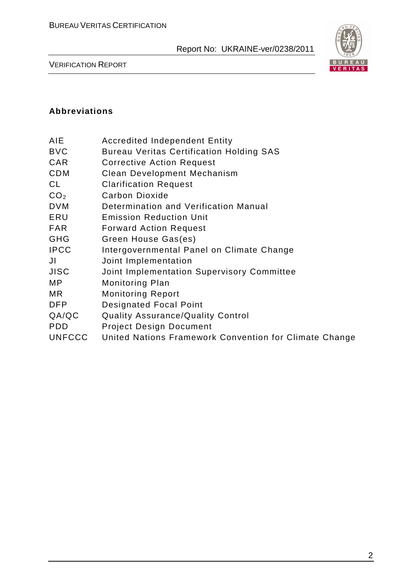

VERIFICATION REPORT

### **Abbreviations**

| AIE | <b>Accredited Independent Entity</b> |  |
|-----|--------------------------------------|--|
|     |                                      |  |

- BVC Bureau Veritas Certification Holding SAS
- CAR Corrective Action Request
- CDM Clean Development Mechanism
- CL Clarification Request
- CO<sub>2</sub> Carbon Dioxide
- DVM Determination and Verification Manual
- ERU Emission Reduction Unit
- FAR Forward Action Request
- GHG Green House Gas(es)
- IPCC Intergovernmental Panel on Climate Change
- JI Joint Implementation
- JISC Joint Implementation Supervisory Committee
- MP Monitoring Plan
- MR Monitoring Report
- DFP Designated Focal Point
- QA/QC Quality Assurance/Quality Control
- PDD Project Design Document
- UNFCCC United Nations Framework Convention for Climate Change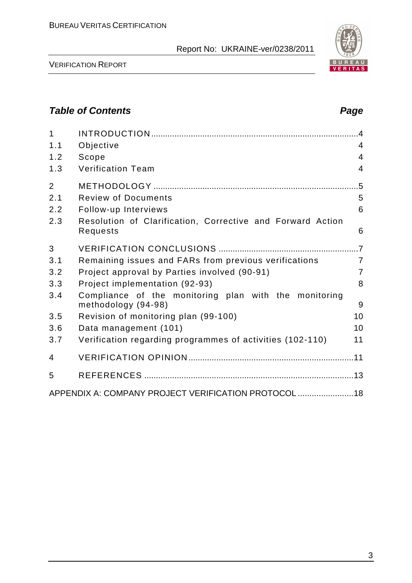

VERIFICATION REPORT

# **Table of Contents Page 2018**

| $\mathbf{1}$   |                                                                              | $\overline{A}$ |
|----------------|------------------------------------------------------------------------------|----------------|
| 1.1            | Objective                                                                    | $\overline{4}$ |
| 1.2            | Scope                                                                        | 4              |
| 1.3            | <b>Verification Team</b>                                                     | $\overline{4}$ |
| $\overline{2}$ |                                                                              |                |
| 2.1            | <b>Review of Documents</b>                                                   | 5              |
| 2.2            | Follow-up Interviews                                                         | 6              |
| 2.3            | Resolution of Clarification, Corrective and Forward Action<br>Requests       | 6              |
| 3              |                                                                              |                |
| 3.1            | Remaining issues and FARs from previous verifications                        | $\overline{7}$ |
| 3.2            | Project approval by Parties involved (90-91)                                 | $\overline{7}$ |
| 3.3            | Project implementation (92-93)                                               | 8              |
| 3.4            | Compliance of the monitoring plan with the monitoring<br>methodology (94-98) | 9              |
| 3.5            | Revision of monitoring plan (99-100)                                         | 10             |
| 3.6            | Data management (101)                                                        | 10             |
| 3.7            | Verification regarding programmes of activities (102-110)                    | 11             |
| 4              |                                                                              |                |
| 5              |                                                                              |                |
|                | APPENDIX A: COMPANY PROJECT VERIFICATION PROTOCOL  18                        |                |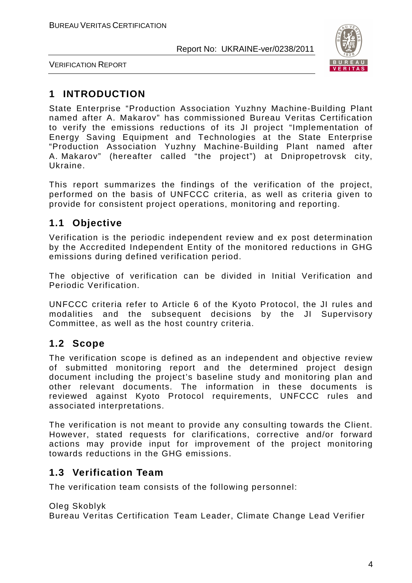

VERIFICATION REPORT

# **1 INTRODUCTION**

State Enterprise "Production Association Yuzhny Machine-Building Plant named after A. Makarov" has commissioned Bureau Veritas Certification to verify the emissions reductions of its JI project "Implementation of Energy Saving Equipment and Technologies at the State Enterprise "Production Association Yuzhny Machine-Building Plant named after A. Makarov" (hereafter called "the project") at Dnipropetrovsk city, Ukraine.

This report summarizes the findings of the verification of the project, performed on the basis of UNFCCC criteria, as well as criteria given to provide for consistent project operations, monitoring and reporting.

# **1.1 Objective**

Verification is the periodic independent review and ex post determination by the Accredited Independent Entity of the monitored reductions in GHG emissions during defined verification period.

The objective of verification can be divided in Initial Verification and Periodic Verification.

UNFCCC criteria refer to Article 6 of the Kyoto Protocol, the JI rules and modalities and the subsequent decisions by the JI Supervisory Committee, as well as the host country criteria.

# **1.2 Scope**

The verification scope is defined as an independent and objective review of submitted monitoring report and the determined project design document including the project's baseline study and monitoring plan and other relevant documents. The information in these documents is reviewed against Kyoto Protocol requirements, UNFCCC rules and associated interpretations.

The verification is not meant to provide any consulting towards the Client. However, stated requests for clarifications, corrective and/or forward actions may provide input for improvement of the project monitoring towards reductions in the GHG emissions.

# **1.3 Verification Team**

The verification team consists of the following personnel:

Oleg Skoblyk

Bureau Veritas Certification Team Leader, Climate Change Lead Verifier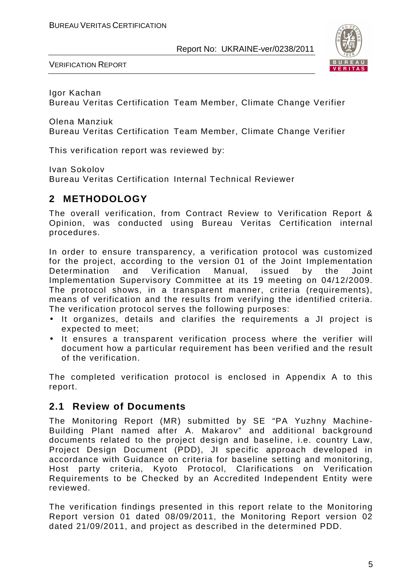

VERIFICATION REPORT

Igor Kachan

Bureau Veritas Certification Team Member, Climate Change Verifier

Olena Manziuk

Bureau Veritas Certification Team Member, Climate Change Verifier

This verification report was reviewed by:

Ivan Sokolov

Bureau Veritas Certification Internal Technical Reviewer

# **2 METHODOLOGY**

The overall verification, from Contract Review to Verification Report & Opinion, was conducted using Bureau Veritas Certification internal procedures.

In order to ensure transparency, a verification protocol was customized for the project, according to the version 01 of the Joint Implementation Determination and Verification Manual, issued by the Joint Implementation Supervisory Committee at its 19 meeting on 04/12/2009. The protocol shows, in a transparent manner, criteria (requirements), means of verification and the results from verifying the identified criteria. The verification protocol serves the following purposes:

- It organizes, details and clarifies the requirements a JI project is expected to meet;
- It ensures a transparent verification process where the verifier will document how a particular requirement has been verified and the result of the verification.

The completed verification protocol is enclosed in Appendix A to this report.

# **2.1 Review of Documents**

The Monitoring Report (MR) submitted by SE "PA Yuzhny Machine-Building Plant named after A. Makarov" and additional background documents related to the project design and baseline, i.e. country Law, Project Design Document (PDD), JI specific approach developed in accordance with Guidance on criteria for baseline setting and monitoring, Host party criteria, Kyoto Protocol, Clarifications on Verification Requirements to be Checked by an Accredited Independent Entity were reviewed.

The verification findings presented in this report relate to the Monitoring Report version 01 dated 08/09/2011, the Monitoring Report version 02 dated 21/09/2011, and project as described in the determined PDD.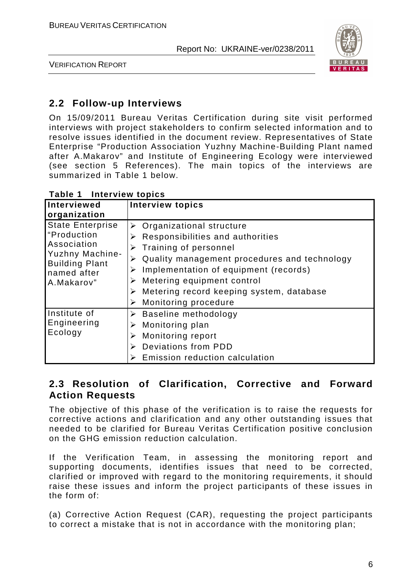

VERIFICATION REPORT

# **2.2 Follow-up Interviews**

On 15/09/2011 Bureau Veritas Certification during site visit performed interviews with project stakeholders to confirm selected information and to resolve issues identified in the document review. Representatives of State Enterprise "Production Association Yuzhny Machine-Building Plant named after A.Makarov" and Institute of Engineering Ecology were interviewed (see section 5 References). The main topics of the interviews are summarized in Table 1 below.

| Interviewed<br>organization                                                                                                           | <b>Interview topics</b>                                                                                                                                                                                                                                                                                                                            |
|---------------------------------------------------------------------------------------------------------------------------------------|----------------------------------------------------------------------------------------------------------------------------------------------------------------------------------------------------------------------------------------------------------------------------------------------------------------------------------------------------|
| <b>State Enterprise</b><br>"Production<br>Association<br><b>Yuzhny Machine-</b><br><b>Building Plant</b><br>named after<br>A.Makarov" | $\triangleright$ Organizational structure<br>Responsibilities and authorities<br>➤<br>Training of personnel<br>⋗<br>Quality management procedures and technology<br>Implementation of equipment (records)<br>➤<br>Metering equipment control<br>➤<br>$\triangleright$ Metering record keeping system, database<br><b>Monitoring procedure</b><br>➤ |
| Institute of<br>Engineering<br>Ecology                                                                                                | $\triangleright$ Baseline methodology<br>Monitoring plan<br>➤<br><b>Monitoring report</b><br>➤<br>Deviations from PDD<br>Emission reduction calculation                                                                                                                                                                                            |

**Table 1 Interview topics** 

# **2.3 Resolution of Clarification, Corrective and Forward Action Requests**

The objective of this phase of the verification is to raise the requests for corrective actions and clarification and any other outstanding issues that needed to be clarified for Bureau Veritas Certification positive conclusion on the GHG emission reduction calculation.

If the Verification Team, in assessing the monitoring report and supporting documents, identifies issues that need to be corrected, clarified or improved with regard to the monitoring requirements, it should raise these issues and inform the project participants of these issues in the form of:

(a) Corrective Action Request (CAR), requesting the project participants to correct a mistake that is not in accordance with the monitoring plan;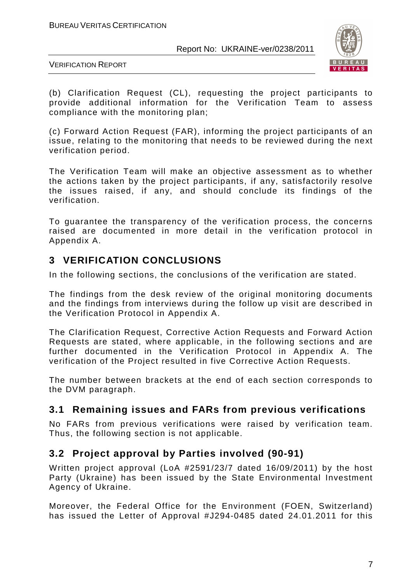

VERIFICATION REPORT

(b) Clarification Request (CL), requesting the project participants to provide additional information for the Verification Team to assess compliance with the monitoring plan;

(c) Forward Action Request (FAR), informing the project participants of an issue, relating to the monitoring that needs to be reviewed during the next verification period.

The Verification Team will make an objective assessment as to whether the actions taken by the project participants, if any, satisfactorily resolve the issues raised, if any, and should conclude its findings of the verification.

To guarantee the transparency of the verification process, the concerns raised are documented in more detail in the verification protocol in Appendix A.

# **3 VERIFICATION CONCLUSIONS**

In the following sections, the conclusions of the verification are stated.

The findings from the desk review of the original monitoring documents and the findings from interviews during the follow up visit are described in the Verification Protocol in Appendix A.

The Clarification Request, Corrective Action Requests and Forward Action Requests are stated, where applicable, in the following sections and are further documented in the Verification Protocol in Appendix A. The verification of the Project resulted in five Corrective Action Requests.

The number between brackets at the end of each section corresponds to the DVM paragraph.

# **3.1 Remaining issues and FARs from previous verifications**

No FARs from previous verifications were raised by verification team. Thus, the following section is not applicable.

# **3.2 Project approval by Parties involved (90-91)**

Written project approval (LoA #2591/23/7 dated 16/09/2011) by the host Party (Ukraine) has been issued by the State Environmental Investment Agency of Ukraine.

Moreover, the Federal Office for the Environment (FOEN, Switzerland) has issued the Letter of Approval #J294-0485 dated 24.01.2011 for this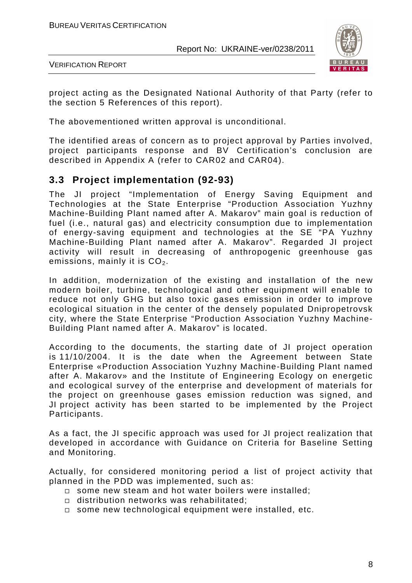

VERIFICATION REPORT

project acting as the Designated National Authority of that Party (refer to the section 5 References of this report).

The abovementioned written approval is unconditional.

The identified areas of concern as to project approval by Parties involved, project participants response and BV Certification's conclusion are described in Appendix A (refer to CAR02 and CAR04).

# **3.3 Project implementation (92-93)**

The JI project "Implementation of Energy Saving Equipment and Technologies at the State Enterprise "Production Association Yuzhny Machine-Building Plant named after A. Makarov" main goal is reduction of fuel (i.e., natural gas) and electricity consumption due to implementation of energy-saving equipment and technologies at the SE "PA Yuzhny Machine-Building Plant named after A. Makarov". Regarded JI project activity will result in decreasing of anthropogenic greenhouse gas emissions, mainly it is  $CO<sub>2</sub>$ .

In addition, modernization of the existing and installation of the new modern boiler, turbine, technological and other equipment will enable to reduce not only GHG but also toxic gases emission in order to improve ecological situation in the center of the densely populated Dnipropetrovsk city, where the State Enterprise "Production Association Yuzhny Machine-Building Plant named after A. Makarov" is located.

According to the documents, the starting date of JI project operation is 11/10/2004. It is the date when the Agreement between State Enterprise «Production Association Yuzhny Machine-Building Plant named after A. Makarov» and the Institute of Engineering Ecology on energetic and ecological survey of the enterprise and development of materials for the project on greenhouse gases emission reduction was signed, and JI project activity has been started to be implemented by the Project Participants.

As a fact, the JI specific approach was used for JI project realization that developed in accordance with Guidance on Criteria for Baseline Setting and Monitoring.

Actually, for considered monitoring period a list of project activity that planned in the PDD was implemented, such as:

- $\square$  some new steam and hot water boilers were installed;
- distribution networks was rehabilitated;
- □ some new technological equipment were installed, etc.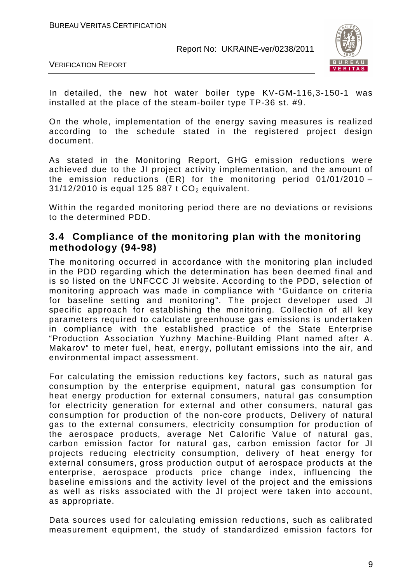

VERIFICATION REPORT

In detailed, the new hot water boiler type KV-GM-116,3-150-1 was installed at the place of the steam-boiler type TP-36 st. #9.

On the whole, implementation of the energy saving measures is realized according to the schedule stated in the registered project design document.

As stated in the Monitoring Report, GHG emission reductions were achieved due to the JI project activity implementation, and the amount of the emission reductions (ER) for the monitoring period 01/01/2010 –  $31/12/2010$  is equal 125 887 t  $CO<sub>2</sub>$  equivalent.

Within the regarded monitoring period there are no deviations or revisions to the determined PDD.

### **3.4 Compliance of the monitoring plan with the monitoring methodology (94-98)**

The monitoring occurred in accordance with the monitoring plan included in the PDD regarding which the determination has been deemed final and is so listed on the UNFCCC JI website. According to the PDD, selection of monitoring approach was made in compliance with "Guidance on criteria for baseline setting and monitoring". The project developer used JI specific approach for establishing the monitoring. Collection of all key parameters required to calculate greenhouse gas emissions is undertaken in compliance with the established practice of the State Enterprise "Production Association Yuzhny Machine-Building Plant named after A. Makarov" to meter fuel, heat, energy, pollutant emissions into the air, and environmental impact assessment.

For calculating the emission reductions key factors, such as natural gas consumption by the enterprise equipment, natural gas consumption for heat energy production for external consumers, natural gas consumption for electricity generation for external and other consumers, natural gas consumption for production of the non-core products, Delivery of natural gas to the external consumers, electricity consumption for production of the aerospace products, average Net Calorific Value of natural gas, carbon emission factor for natural gas, carbon emission factor for JI projects reducing electricity consumption, delivery of heat energy for external consumers, gross production output of aerospace products at the enterprise, aerospace products price change index, influencing the baseline emissions and the activity level of the project and the emissions as well as risks associated with the JI project were taken into account, as appropriate.

Data sources used for calculating emission reductions, such as calibrated measurement equipment, the study of standardized emission factors for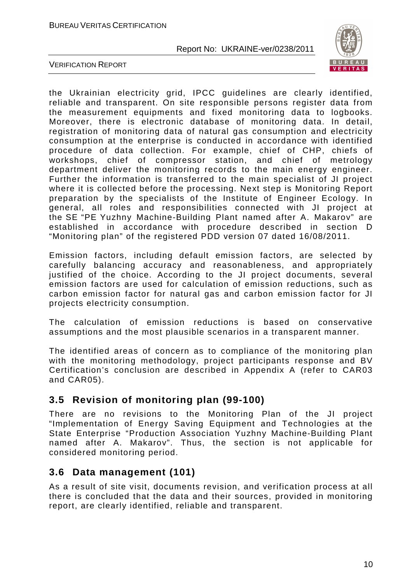

VERIFICATION REPORT

the Ukrainian electricity grid, IPCC guidelines are clearly identified, reliable and transparent. On site responsible persons register data from the measurement equipments and fixed monitoring data to logbooks. Moreover, there is electronic database of monitoring data. In detail, registration of monitoring data of natural gas consumption and electricity consumption at the enterprise is conducted in accordance with identified procedure of data collection. For example, chief of CHP, chiefs of workshops, chief of compressor station, and chief of metrology department deliver the monitoring records to the main energy engineer. Further the information is transferred to the main specialist of JI project where it is collected before the processing. Next step is Monitoring Report preparation by the specialists of the Institute of Engineer Ecology. In general, all roles and responsibilities connected with JI project at the SE "PE Yuzhny Machine-Building Plant named after A. Makarov" are established in accordance with procedure described in section D "Monitoring plan" of the registered PDD version 07 dated 16/08/2011.

Emission factors, including default emission factors, are selected by carefully balancing accuracy and reasonableness, and appropriately justified of the choice. According to the JI project documents, several emission factors are used for calculation of emission reductions, such as carbon emission factor for natural gas and carbon emission factor for JI projects electricity consumption.

The calculation of emission reductions is based on conservative assumptions and the most plausible scenarios in a transparent manner.

The identified areas of concern as to compliance of the monitoring plan with the monitoring methodology, project participants response and BV Certification's conclusion are described in Appendix A (refer to CAR03 and CAR05).

# **3.5 Revision of monitoring plan (99-100)**

There are no revisions to the Monitoring Plan of the JI project "Implementation of Energy Saving Equipment and Technologies at the State Enterprise "Production Association Yuzhny Machine-Building Plant named after A. Makarov". Thus, the section is not applicable for considered monitoring period.

# **3.6 Data management (101)**

As a result of site visit, documents revision, and verification process at all there is concluded that the data and their sources, provided in monitoring report, are clearly identified, reliable and transparent.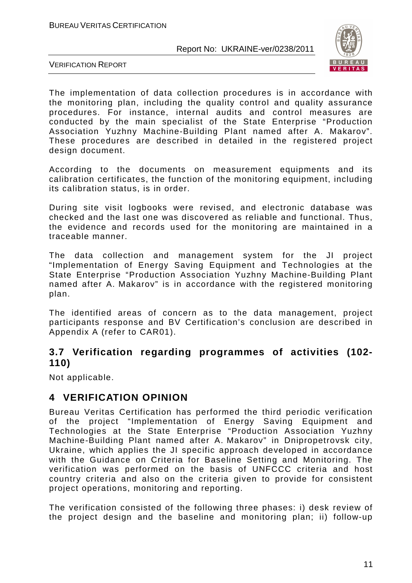

VERIFICATION REPORT

The implementation of data collection procedures is in accordance with the monitoring plan, including the quality control and quality assurance procedures. For instance, internal audits and control measures are conducted by the main specialist of the State Enterprise "Production Association Yuzhny Machine-Building Plant named after A. Makarov". These procedures are described in detailed in the registered project design document.

According to the documents on measurement equipments and its calibration certificates, the function of the monitoring equipment, including its calibration status, is in order.

During site visit logbooks were revised, and electronic database was checked and the last one was discovered as reliable and functional. Thus, the evidence and records used for the monitoring are maintained in a traceable manner.

The data collection and management system for the JI project "Implementation of Energy Saving Equipment and Technologies at the State Enterprise "Production Association Yuzhny Machine-Building Plant named after A. Makarov" is in accordance with the registered monitoring plan.

The identified areas of concern as to the data management, project participants response and BV Certification's conclusion are described in Appendix A (refer to CAR01).

# **3.7 Verification regarding programmes of activities (102- 110)**

Not applicable.

# **4 VERIFICATION OPINION**

Bureau Veritas Certification has performed the third periodic verification of the project "Implementation of Energy Saving Equipment and Technologies at the State Enterprise "Production Association Yuzhny Machine-Building Plant named after A. Makarov" in Dnipropetrovsk city, Ukraine, which applies the JI specific approach developed in accordance with the Guidance on Criteria for Baseline Setting and Monitoring. The verification was performed on the basis of UNFCCC criteria and host country criteria and also on the criteria given to provide for consistent project operations, monitoring and reporting.

The verification consisted of the following three phases: i) desk review of the project design and the baseline and monitoring plan; ii) follow-up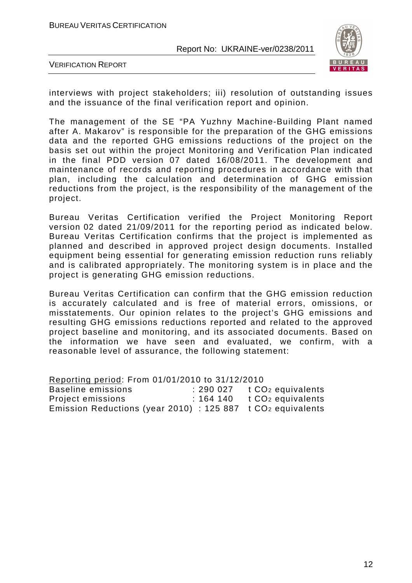

VERIFICATION REPORT

interviews with project stakeholders; iii) resolution of outstanding issues and the issuance of the final verification report and opinion.

The management of the SE "PA Yuzhny Machine-Building Plant named after A. Makarov" is responsible for the preparation of the GHG emissions data and the reported GHG emissions reductions of the project on the basis set out within the project Monitoring and Verification Plan indicated in the final PDD version 07 dated 16/08/2011. The development and maintenance of records and reporting procedures in accordance with that plan, including the calculation and determination of GHG emission reductions from the project, is the responsibility of the management of the project.

Bureau Veritas Certification verified the Project Monitoring Report version 02 dated 21/09/2011 for the reporting period as indicated below. Bureau Veritas Certification confirms that the project is implemented as planned and described in approved project design documents. Installed equipment being essential for generating emission reduction runs reliably and is calibrated appropriately. The monitoring system is in place and the project is generating GHG emission reductions.

Bureau Veritas Certification can confirm that the GHG emission reduction is accurately calculated and is free of material errors, omissions, or misstatements. Our opinion relates to the project's GHG emissions and resulting GHG emissions reductions reported and related to the approved project baseline and monitoring, and its associated documents. Based on the information we have seen and evaluated, we confirm, with a reasonable level of assurance, the following statement:

Reporting period: From 01/01/2010 to 31/12/2010 Baseline emissions : 290 027 t CO<sub>2</sub> equivalents Project emissions : 164 140 t CO<sub>2</sub> equivalents Emission Reductions (year 2010) : 125 887 t CO2 equivalents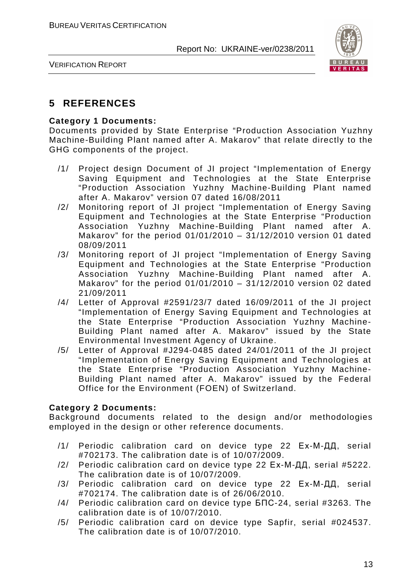

VERIFICATION REPORT

# **5 REFERENCES**

#### **Category 1 Documents:**

Documents provided by State Enterprise "Production Association Yuzhny Machine-Building Plant named after A. Makarov" that relate directly to the GHG components of the project.

- /1/ Project design Document of JI project "Implementation of Energy Saving Equipment and Technologies at the State Enterprise "Production Association Yuzhny Machine-Building Plant named after A. Makarov" version 07 dated 16/08/2011
- /2/ Monitoring report of JI project "Implementation of Energy Saving Equipment and Technologies at the State Enterprise "Production Association Yuzhny Machine-Building Plant named after A. Makarov" for the period 01/01/2010 – 31/12/2010 version 01 dated 08/09/2011
- /3/ Monitoring report of JI project "Implementation of Energy Saving Equipment and Technologies at the State Enterprise "Production Association Yuzhny Machine-Building Plant named after A. Makarov" for the period  $01/01/2010 - 31/12/2010$  version 02 dated 21/09/2011
- /4/ Letter of Approval #2591/23/7 dated 16/09/2011 of the JI project "Implementation of Energy Saving Equipment and Technologies at the State Enterprise "Production Association Yuzhny Machine-Building Plant named after A. Makarov" issued by the State Environmental Investment Agency of Ukraine.
- /5/ Letter of Approval #J294-0485 dated 24/01/2011 of the JI project "Implementation of Energy Saving Equipment and Technologies at the State Enterprise "Production Association Yuzhny Machine-Building Plant named after A. Makarov" issued by the Federal Office for the Environment (FOEN) of Switzerland.

#### **Category 2 Documents:**

Background documents related to the design and/or methodologies employed in the design or other reference documents.

- /1/ Periodic calibration card on device type 22 Ех-М-ДД, serial #702173. The calibration date is of 10/07/2009.
- /2/ Periodic calibration card on device type 22 Ех-М-ДД, serial #5222. The calibration date is of 10/07/2009.
- /3/ Periodic calibration card on device type 22 Ех-М-ДД, serial #702174. The calibration date is of 26/06/2010.
- /4/ Periodic calibration card on device type БПС-24, serial #3263. The calibration date is of 10/07/2010.
- /5/ Periodic calibration card on device type Sapfir, serial #024537. The calibration date is of 10/07/2010.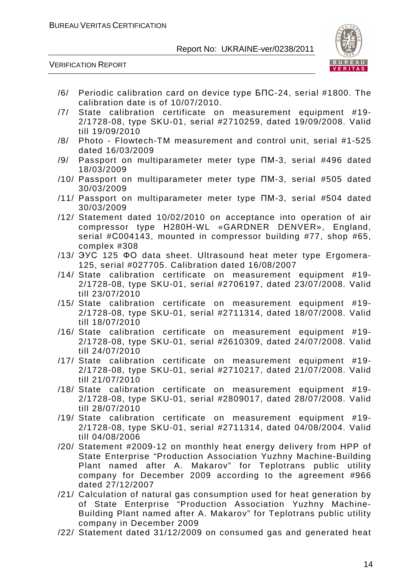

VERIFICATION REPORT

- /6/ Periodic calibration card on device type БПС-24, serial #1800. The calibration date is of 10/07/2010.
- /7/ State calibration certificate on measurement equipment #19- 2/1728-08, type SKU-01, serial #2710259, dated 19/09/2008. Valid till 19/09/2010
- /8/ Photo Flowtech-TM measurement and control unit, serial #1-525 dated 16/03/2009
- /9/ Passport on multiparameter meter type ПМ-3, serial #496 dated 18/03/2009
- /10/ Passport on multiparameter meter type ПМ-3, serial #505 dated 30/03/2009
- /11/ Passport on multiparameter meter type ПМ-3, serial #504 dated 30/03/2009
- /12/ Statement dated 10/02/2010 on acceptance into operation of air compressor type Н280Н-WL «GARDNER DENVER», England, serial #С004143, mounted in compressor building #77, shop #65, complex #308
- /13/ ЭУС 125 ФО data sheet. Ultrasound heat meter type Ergomera-125, serial #027705. Calibration dated 16/08/2007
- /14/ State calibration certificate on measurement equipment #19- 2/1728-08, type SKU-01, serial #2706197, dated 23/07/2008. Valid till 23/07/2010
- /15/ State calibration certificate on measurement equipment #19- 2/1728-08, type SKU-01, serial #2711314, dated 18/07/2008. Valid till 18/07/2010
- /16/ State calibration certificate on measurement equipment #19- 2/1728-08, type SKU-01, serial #2610309, dated 24/07/2008. Valid till 24/07/2010
- /17/ State calibration certificate on measurement equipment #19- 2/1728-08, type SKU-01, serial #2710217, dated 21/07/2008. Valid till 21/07/2010
- /18/ State calibration certificate on measurement equipment #19- 2/1728-08, type SKU-01, serial #2809017, dated 28/07/2008. Valid till 28/07/2010
- /19/ State calibration certificate on measurement equipment #19- 2/1728-08, type SKU-01, serial #2711314, dated 04/08/2004. Valid till 04/08/2006
- /20/ Statement #2009-12 on monthly heat energy delivery from HPP of State Enterprise "Production Association Yuzhny Machine-Building Plant named after A. Makarov" for Teplotrans public utility company for December 2009 according to the agreement #966 dated 27/12/2007
- /21/ Calculation of natural gas consumption used for heat generation by of State Enterprise "Production Association Yuzhny Machine-Building Plant named after A. Makarov" for Teplotrans public utility company in December 2009
- /22/ Statement dated 31/12/2009 on consumed gas and generated heat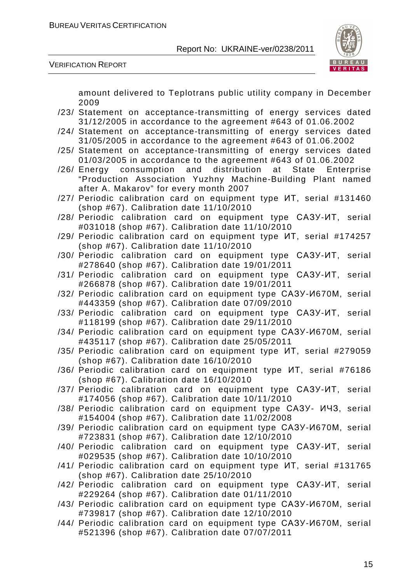

VERIFICATION REPORT

amount delivered to Teplotrans public utility company in December 2009

- /23/ Statement on acceptance-transmitting of energy services dated 31/12/2005 in accordance to the agreement #643 of 01.06.2002
- /24/ Statement on acceptance-transmitting of energy services dated 31/05/2005 in accordance to the agreement #643 of 01.06.2002
- /25/ Statement on acceptance-transmitting of energy services dated 01/03/2005 in accordance to the agreement #643 of 01.06.2002
- /26/ Energy consumption and distribution at State Enterprise "Production Association Yuzhny Machine-Building Plant named after A. Makarov" for every month 2007
- /27/ Periodic calibration card on equipment type ИТ, serial #131460 (shop #67). Calibration date 11/10/2010
- /28/ Periodic calibration card on equipment type САЗУ-ИТ, serial #031018 (shop #67). Calibration date 11/10/2010
- /29/ Periodic calibration card on equipment type ИТ, serial #174257 (shop #67). Calibration date 11/10/2010
- /30/ Periodic calibration card on equipment type САЗУ-ИТ, serial #278640 (shop #67). Calibration date 19/01/2011
- /31/ Periodic calibration card on equipment type САЗУ-ИТ, serial #266878 (shop #67). Calibration date 19/01/2011
- /32/ Periodic calibration card on equipment type САЗУ-И670М, serial #443359 (shop #67). Calibration date 07/09/2010
- /33/ Periodic calibration card on equipment type САЗУ-ИТ, serial #118199 (shop #67). Calibration date 29/11/2010
- /34/ Periodic calibration card on equipment type САЗУ-И670М, serial #435117 (shop #67). Calibration date 25/05/2011
- /35/ Periodic calibration card on equipment type ИТ, serial #279059 (shop #67). Calibration date 16/10/2010
- /36/ Periodic calibration card on equipment type ИТ, serial #76186 (shop #67). Calibration date 16/10/2010
- /37/ Periodic calibration card on equipment type САЗУ-ИТ, serial #174056 (shop #67). Calibration date 10/11/2010
- /38/ Periodic calibration card on equipment type САЗУ- ИЧЗ, serial #154004 (shop #67). Calibration date 11/02/2008
- /39/ Periodic calibration card on equipment type САЗУ-И670М, serial #723831 (shop #67). Calibration date 12/10/2010
- /40/ Periodic calibration card on equipment type САЗУ-ИТ, serial #029535 (shop #67). Calibration date 10/10/2010
- /41/ Periodic calibration card on equipment type ИТ, serial #131765 (shop #67). Calibration date 25/10/2010
- /42/ Periodic calibration card on equipment type САЗУ-ИТ, serial #229264 (shop #67). Calibration date 01/11/2010
- /43/ Periodic calibration card on equipment type САЗУ-И670М, serial #739817 (shop #67). Calibration date 12/10/2010
- /44/ Periodic calibration card on equipment type САЗУ-И670М, serial #521396 (shop #67). Calibration date 07/07/2011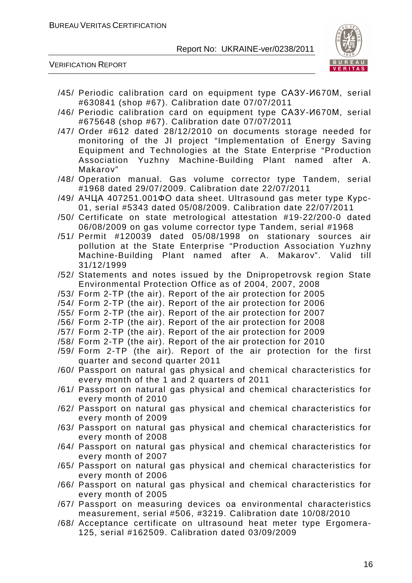

VERIFICATION REPORT

- /45/ Periodic calibration card on equipment type САЗУ-И670М, serial #630841 (shop #67). Calibration date 07/07/2011
- /46/ Periodic calibration card on equipment type САЗУ-И670М, serial #675648 (shop #67). Calibration date 07/07/2011
- /47/ Order #612 dated 28/12/2010 on documents storage needed for monitoring of the JI project "Implementation of Energy Saving Equipment and Technologies at the State Enterprise "Production Association Yuzhny Machine-Building Plant named after A. Makarov"
- /48/ Operation manual. Gas volume corrector type Tandem, serial #1968 dated 29/07/2009. Calibration date 22/07/2011
- /49/ АЧЦА 407251.001ФО data sheet. Ultrasound gas meter type Курс-01, serial #5343 dated 05/08/2009. Calibration date 22/07/2011
- /50/ Certificate on state metrological attestation #19-22/200-0 dated 06/08/2009 on gas volume corrector type Tandem, serial #1968
- /51/ Permit #120039 dated 05/08/1998 on stationary sources air pollution at the State Enterprise "Production Association Yuzhny Machine-Building Plant named after A. Makarov". Valid till 31/12/1999
- /52/ Statements and notes issued by the Dnipropetrovsk region State Environmental Protection Office as of 2004, 2007, 2008
- /53/ Form 2-TP (the air). Report of the air protection for 2005
- /54/ Form 2-TP (the air). Report of the air protection for 2006
- /55/ Form 2-TP (the air). Report of the air protection for 2007
- /56/ Form 2-TP (the air). Report of the air protection for 2008
- /57/ Form 2-TP (the air). Report of the air protection for 2009
- /58/ Form 2-TP (the air). Report of the air protection for 2010
- /59/ Form 2-TP (the air). Report of the air protection for the first quarter and second quarter 2011
- /60/ Passport on natural gas physical and chemical characteristics for every month of the 1 and 2 quarters of 2011
- /61/ Passport on natural gas physical and chemical characteristics for every month of 2010
- /62/ Passport on natural gas physical and chemical characteristics for every month of 2009
- /63/ Passport on natural gas physical and chemical characteristics for every month of 2008
- /64/ Passport on natural gas physical and chemical characteristics for every month of 2007
- /65/ Passport on natural gas physical and chemical characteristics for every month of 2006
- /66/ Passport on natural gas physical and chemical characteristics for every month of 2005
- /67/ Passport on measuring devices oа environmental characteristics measurement, serial #506, #3219. Calibration date 10/08/2010
- /68/ Acceptance certificate on ultrasound heat meter type Ergomera-125, serial #162509. Calibration dated 03/09/2009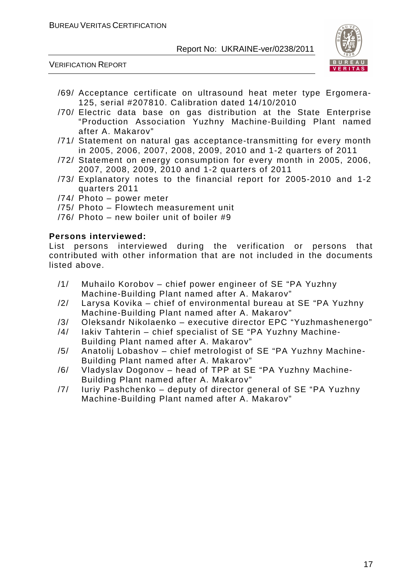



- /69/ Acceptance certificate on ultrasound heat meter type Ergomera-125, serial #207810. Calibration dated 14/10/2010
- /70/ Electric data base on gas distribution at the State Enterprise "Production Association Yuzhny Machine-Building Plant named after A. Makarov"
- /71/ Statement on natural gas acceptance-transmitting for every month in 2005, 2006, 2007, 2008, 2009, 2010 and 1-2 quarters of 2011
- /72/ Statement on energy consumption for every month in 2005, 2006, 2007, 2008, 2009, 2010 and 1-2 quarters of 2011
- /73/ Explanatory notes to the financial report for 2005-2010 and 1-2 quarters 2011
- /74/ Photo power meter
- /75/ Photo Flowtech measurement unit
- /76/ Photo new boiler unit of boiler #9

#### **Persons interviewed:**

List persons interviewed during the verification or persons that contributed with other information that are not included in the documents listed above.

- /1/ Muhailo Korobov chief power engineer of SE "PA Yuzhny Machine-Building Plant named after A. Makarov"
- /2/ Larysa Kovika chief of environmental bureau at SE "PA Yuzhny Machine-Building Plant named after A. Makarov"
- /3/ Oleksandr Nikolaenko executive director EPC "Yuzhmashenergo"
- /4/ Iakiv Tahterin chief specialist of SE "PA Yuzhny Machine-
- Building Plant named after A. Makarov"
- /5/ Anatolij Lobashov chief metrologist of SE "PA Yuzhny Machine-Building Plant named after A. Makarov"
- /6/ Vladyslav Dogonov head of TPP at SE "PA Yuzhny Machine-Building Plant named after A. Makarov"
- /7/ Iuriy Pashchenko deputy of director general of SE "PA Yuzhny Machine-Building Plant named after A. Makarov"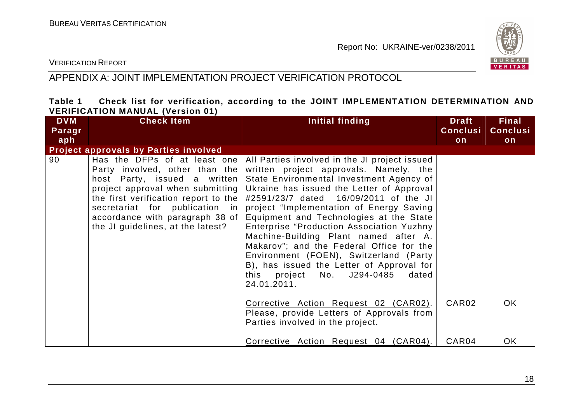

#### VERIFICATION REPORT

# APPENDIX A: JOINT IMPLEMENTATION PROJECT VERIFICATION PROTOCOL

#### **Table 1 Check list for verification, according to the JOINT IMPLEMENTATION DETERMINATION AND VERIFICATION MANUAL (Version 01)**

| <b>DVM</b> | <b>Check Item</b>                                                                                                                                                                                                                                                                          | Initial finding                                                                                                                                                                                                                                                                                                                                                                                                                                                                                                                                                                                                                       | <b>Draft</b>      | <b>Final</b>    |
|------------|--------------------------------------------------------------------------------------------------------------------------------------------------------------------------------------------------------------------------------------------------------------------------------------------|---------------------------------------------------------------------------------------------------------------------------------------------------------------------------------------------------------------------------------------------------------------------------------------------------------------------------------------------------------------------------------------------------------------------------------------------------------------------------------------------------------------------------------------------------------------------------------------------------------------------------------------|-------------------|-----------------|
| Paragr     |                                                                                                                                                                                                                                                                                            |                                                                                                                                                                                                                                                                                                                                                                                                                                                                                                                                                                                                                                       | <b>Conclusi</b>   | <b>Conclusi</b> |
| aph        |                                                                                                                                                                                                                                                                                            |                                                                                                                                                                                                                                                                                                                                                                                                                                                                                                                                                                                                                                       | on                | on              |
|            | <b>Project approvals by Parties involved</b>                                                                                                                                                                                                                                               |                                                                                                                                                                                                                                                                                                                                                                                                                                                                                                                                                                                                                                       |                   |                 |
| 90         | Has the DFPs of at least one<br>Party involved, other than the<br>host Party, issued a written<br>project approval when submitting<br>the first verification report to the $ $<br>secretariat for publication in<br>accordance with paragraph 38 of  <br>the JI guidelines, at the latest? | All Parties involved in the JI project issued<br>written project approvals. Namely, the<br>State Environmental Investment Agency of<br>Ukraine has issued the Letter of Approval<br>#2591/23/7 dated 16/09/2011 of the JI<br>project "Implementation of Energy Saving<br>Equipment and Technologies at the State<br>Enterprise "Production Association Yuzhny<br>Machine-Building Plant named after A.<br>Makarov"; and the Federal Office for the<br>Environment (FOEN), Switzerland (Party<br>B), has issued the Letter of Approval for<br>this project No. J294-0485 dated<br>24.01.2011.<br>Corrective Action Request 02 (CAR02). | CAR <sub>02</sub> | OK.             |
|            |                                                                                                                                                                                                                                                                                            | Please, provide Letters of Approvals from<br>Parties involved in the project.                                                                                                                                                                                                                                                                                                                                                                                                                                                                                                                                                         |                   |                 |
|            |                                                                                                                                                                                                                                                                                            | Corrective Action Request 04 (CAR04).                                                                                                                                                                                                                                                                                                                                                                                                                                                                                                                                                                                                 | CAR04             | <b>OK</b>       |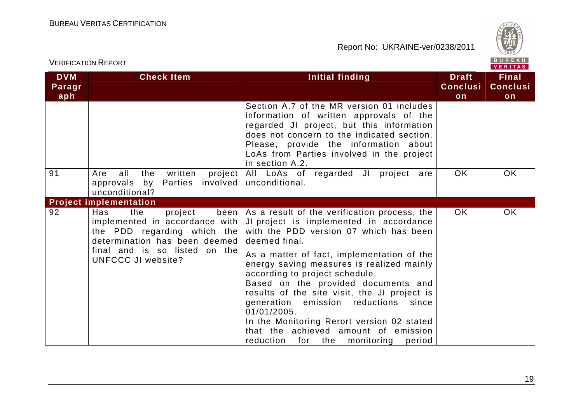

| <b>VERIFICATION REPORT</b>  |                                                                                                                                                                                         |                                                                                                                                                                                                                                                                                                                                                                                                                                                                                                                                                                                 |                                       | BUREAU<br>VERITAS                     |  |
|-----------------------------|-----------------------------------------------------------------------------------------------------------------------------------------------------------------------------------------|---------------------------------------------------------------------------------------------------------------------------------------------------------------------------------------------------------------------------------------------------------------------------------------------------------------------------------------------------------------------------------------------------------------------------------------------------------------------------------------------------------------------------------------------------------------------------------|---------------------------------------|---------------------------------------|--|
| <b>DVM</b><br>Paragr<br>aph | <b>Check Item</b>                                                                                                                                                                       | Initial finding                                                                                                                                                                                                                                                                                                                                                                                                                                                                                                                                                                 | <b>Draft</b><br><b>Conclusi</b><br>on | <b>Final</b><br><b>Conclusi</b><br>on |  |
|                             |                                                                                                                                                                                         | Section A.7 of the MR version 01 includes<br>information of written approvals of the<br>regarded JI project, but this information<br>does not concern to the indicated section.<br>Please, provide the information about<br>LoAs from Parties involved in the project<br>in section A.2.                                                                                                                                                                                                                                                                                        |                                       |                                       |  |
| 91                          | all<br>the<br>written<br>project  <br>Are<br>approvals by Parties<br>unconditional?                                                                                                     | All LoAs of regarded JI project are<br>involved   unconditional.                                                                                                                                                                                                                                                                                                                                                                                                                                                                                                                | <b>OK</b>                             | <b>OK</b>                             |  |
|                             | <b>Project implementation</b>                                                                                                                                                           |                                                                                                                                                                                                                                                                                                                                                                                                                                                                                                                                                                                 |                                       |                                       |  |
| 92                          | Has<br>the<br>project<br>implemented in accordance with  <br>the PDD regarding which the<br>determination has been deemed<br>final and is so listed on the<br><b>UNFCCC JI website?</b> | been   As a result of the verification process, the  <br>JI project is implemented in accordance<br>with the PDD version 07 which has been<br>deemed final.<br>As a matter of fact, implementation of the<br>energy saving measures is realized mainly<br>according to project schedule.<br>Based on the provided documents and<br>results of the site visit, the JI project is<br>generation emission reductions<br>since<br>01/01/2005.<br>In the Monitoring Rerort version 02 stated<br>that the achieved amount of emission<br>reduction<br>for the<br>monitoring<br>period | OK.                                   | <b>OK</b>                             |  |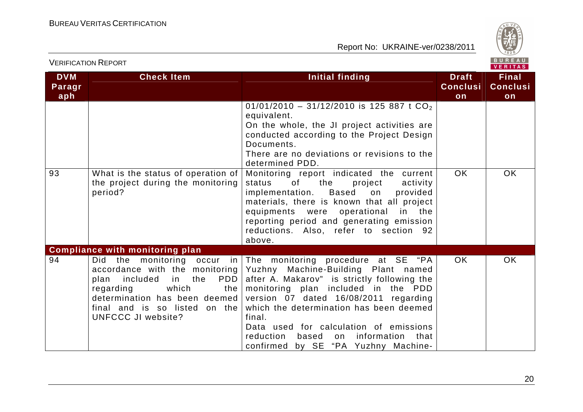

|                             | <b>VERIFICATION REPORT</b>                                                                                                                                                                                                                     |                                                                                                                                                                                                                                                                                                                                                                                                                               |                                       | BUREAU<br>VERITAS                     |  |
|-----------------------------|------------------------------------------------------------------------------------------------------------------------------------------------------------------------------------------------------------------------------------------------|-------------------------------------------------------------------------------------------------------------------------------------------------------------------------------------------------------------------------------------------------------------------------------------------------------------------------------------------------------------------------------------------------------------------------------|---------------------------------------|---------------------------------------|--|
| <b>DVM</b><br>Paragr<br>aph | <b>Check Item</b>                                                                                                                                                                                                                              | Initial finding                                                                                                                                                                                                                                                                                                                                                                                                               | <b>Draft</b><br><b>Conclusi</b><br>on | <b>Final</b><br><b>Conclusi</b><br>on |  |
|                             |                                                                                                                                                                                                                                                | 01/01/2010 - 31/12/2010 is 125 887 t $CO2$<br>equivalent.<br>On the whole, the JI project activities are<br>conducted according to the Project Design<br>Documents.<br>There are no deviations or revisions to the<br>determined PDD.                                                                                                                                                                                         |                                       |                                       |  |
| 93                          | What is the status of operation of<br>the project during the monitoring<br>period?                                                                                                                                                             | Monitoring report indicated the current<br>status<br>of<br>the<br>project<br>activity<br>Based<br>implementation.<br>on<br>provided<br>materials, there is known that all project<br>equipments were operational<br>in the<br>reporting period and generating emission<br>reductions. Also, refer to section 92<br>above.                                                                                                     | OK                                    | <b>OK</b>                             |  |
| 94                          | <b>Compliance with monitoring plan</b><br>accordance with the monitoring<br>PDD<br>plan<br>included<br>in<br>the<br>which<br>regarding<br>the<br>determination has been deemed  <br>final and is so listed on the<br><b>UNFCCC JI website?</b> | Did the monitoring occur in The monitoring procedure at SE "PA<br>Yuzhny Machine-Building Plant named<br>after A. Makarov" is strictly following the<br>monitoring plan included in the PDD<br>version 07 dated 16/08/2011 regarding<br>which the determination has been deemed<br>final.<br>Data used for calculation of emissions<br>reduction<br>based<br>information<br>that<br>on<br>confirmed by SE "PA Yuzhny Machine- | <b>OK</b>                             | <b>OK</b>                             |  |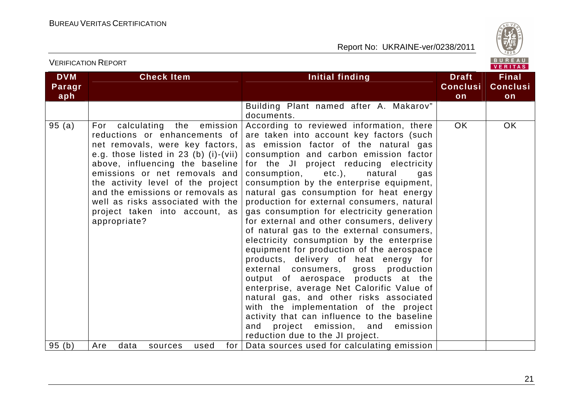

VERITAS

#### **DVM Paragraph Check Item Initial finding Check Item Initial finding Theory ConclusionFinal Conclusion** Building Plant named after A. Makarov" documents. According to reviewed information, there 95 (a) For calculating the emission reductions or enhancements of net removals, were key factors, e.g. those listed in 23 (b) (i)-(vii) above, influencing the baseline emissions or net removals and the activity level of the project and the emissions or removals as well as risks associated with the project taken into account, as appropriate? are taken into account key factors (such as emission factor of the natural gas consumption and carbon emission factor for the JI project reducing electricity consumption, etc.), natural gas consumption by the enterprise equipment, natural gas consumption for heat energy production for external consumers, natural gas consumption for electricity generation for external and other consumers, delivery of natural gas to the external consumers, electricity consumption by the enterprise equipment for production of the aerospace products, delivery of heat energy for external consumers, gross production output of aerospace products at the enterprise, average Net Calorific Value of natural gas, and other risks associated with the implementation of the project activity that can influence to the baseline and project emission, and emission reduction due to the JI project. 95 (b) | Are data sources used for | Data sources used for calculating emission OK OK

VERIFICATION REPORT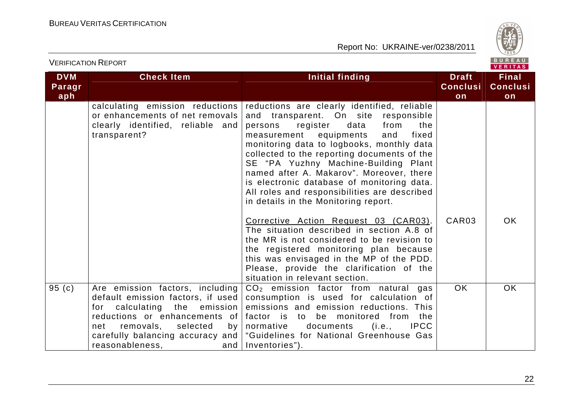

|                             | <b>VERIFICATION REPORT</b>                                                                                                                                                                                                                                         |                                                                                                                                                                                                                                                                                                                                                                                                                                                                                                                                                                                                                                                                                                                                                                                                              |                                       | BUREAU<br><b>VERITAS</b>              |
|-----------------------------|--------------------------------------------------------------------------------------------------------------------------------------------------------------------------------------------------------------------------------------------------------------------|--------------------------------------------------------------------------------------------------------------------------------------------------------------------------------------------------------------------------------------------------------------------------------------------------------------------------------------------------------------------------------------------------------------------------------------------------------------------------------------------------------------------------------------------------------------------------------------------------------------------------------------------------------------------------------------------------------------------------------------------------------------------------------------------------------------|---------------------------------------|---------------------------------------|
| <b>DVM</b><br>Paragr<br>aph | <b>Check Item</b>                                                                                                                                                                                                                                                  | <b>Initial finding</b>                                                                                                                                                                                                                                                                                                                                                                                                                                                                                                                                                                                                                                                                                                                                                                                       | <b>Draft</b><br><b>Conclusi</b><br>on | <b>Final</b><br><b>Conclusi</b><br>on |
|                             | calculating emission reductions<br>or enhancements of net removals<br>clearly identified, reliable and<br>transparent?                                                                                                                                             | reductions are clearly identified, reliable<br>and transparent. On site responsible<br>register<br>data<br>from<br>persons<br>the<br>measurement<br>equipments<br>and<br>fixed<br>monitoring data to logbooks, monthly data<br>collected to the reporting documents of the<br>SE "PA Yuzhny Machine-Building Plant<br>named after A. Makarov". Moreover, there<br>is electronic database of monitoring data.<br>All roles and responsibilities are described<br>in details in the Monitoring report.<br>Corrective Action Request 03 (CAR03).<br>The situation described in section A.8 of<br>the MR is not considered to be revision to<br>the registered monitoring plan because<br>this was envisaged in the MP of the PDD.<br>Please, provide the clarification of the<br>situation in relevant section. | CAR <sub>03</sub>                     | <b>OK</b>                             |
| 95(c)                       | Are emission factors, including<br>default emission factors, if used<br>calculating the<br>emission<br>for<br>reductions or enhancements of<br>removals,<br>net<br>selected<br>by <sub>1</sub><br>carefully balancing accuracy and  <br>reasonableness,<br>and $ $ | $CO2$ emission factor from natural gas<br>consumption is used for calculation of<br>emissions and emission reductions. This<br>factor is to be monitored from the<br><b>IPCC</b><br>normative<br>documents<br>(i.e.,<br>"Guidelines for National Greenhouse Gas<br>Inventories").                                                                                                                                                                                                                                                                                                                                                                                                                                                                                                                            | OK.                                   | <b>OK</b>                             |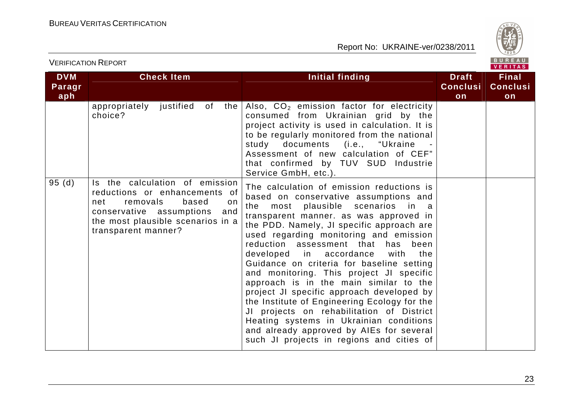

|                             | <b>VERIFICATION REPORT</b>                                                                                                                                                                        |                                                                                                                                                                                                                                                                                                                                                                                                                                                                                                                                                                                                                                                                                                                                                                       |                                       | BUREAU<br><b>VERITAS</b>              |
|-----------------------------|---------------------------------------------------------------------------------------------------------------------------------------------------------------------------------------------------|-----------------------------------------------------------------------------------------------------------------------------------------------------------------------------------------------------------------------------------------------------------------------------------------------------------------------------------------------------------------------------------------------------------------------------------------------------------------------------------------------------------------------------------------------------------------------------------------------------------------------------------------------------------------------------------------------------------------------------------------------------------------------|---------------------------------------|---------------------------------------|
| <b>DVM</b><br>Paragr<br>aph | <b>Check Item</b>                                                                                                                                                                                 | Initial finding                                                                                                                                                                                                                                                                                                                                                                                                                                                                                                                                                                                                                                                                                                                                                       | <b>Draft</b><br><b>Conclusi</b><br>on | <b>Final</b><br><b>Conclusi</b><br>on |
|                             | appropriately justified of<br>the<br>choice?                                                                                                                                                      | Also, CO <sub>2</sub> emission factor for electricity<br>consumed from Ukrainian grid by the<br>project activity is used in calculation. It is<br>to be regularly monitored from the national<br>study documents (i.e., "Ukraine<br>Assessment of new calculation of CEF"<br>that confirmed by TUV SUD Industrie<br>Service GmbH, etc.).                                                                                                                                                                                                                                                                                                                                                                                                                              |                                       |                                       |
| 95(d)                       | Is the calculation of emission<br>reductions or enhancements of<br>removals<br>based<br>net<br>on.<br>conservative assumptions<br>and<br>the most plausible scenarios in a<br>transparent manner? | The calculation of emission reductions is<br>based on conservative assumptions and<br>most plausible scenarios<br>the<br>in a<br>transparent manner. as was approved in<br>the PDD. Namely, JI specific approach are<br>used regarding monitoring and emission<br>reduction assessment that<br>has<br>been<br>developed in accordance<br>with<br>the<br>Guidance on criteria for baseline setting<br>and monitoring. This project JI specific<br>approach is in the main similar to the<br>project JI specific approach developed by<br>the Institute of Engineering Ecology for the<br>JI projects on rehabilitation of District<br>Heating systems in Ukrainian conditions<br>and already approved by AIEs for several<br>such JI projects in regions and cities of |                                       |                                       |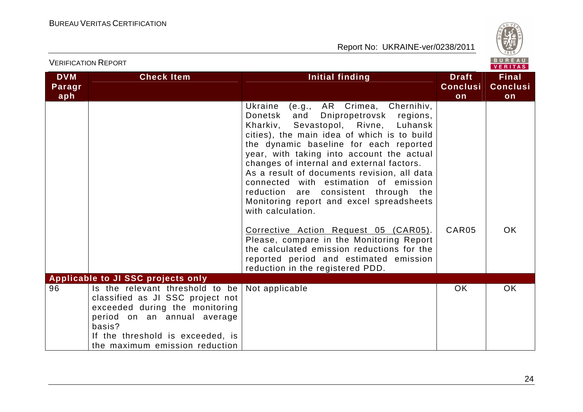

|                             | <b>VERIFICATION REPORT</b>                                                                                                                                                                                           |                                                                                                                                                                                                                                                                                                                                                                                                                                                                                                                 |                                       | BUREAU<br><b>VERITAS</b>       |
|-----------------------------|----------------------------------------------------------------------------------------------------------------------------------------------------------------------------------------------------------------------|-----------------------------------------------------------------------------------------------------------------------------------------------------------------------------------------------------------------------------------------------------------------------------------------------------------------------------------------------------------------------------------------------------------------------------------------------------------------------------------------------------------------|---------------------------------------|--------------------------------|
| <b>DVM</b><br>Paragr<br>aph | <b>Check Item</b>                                                                                                                                                                                                    | Initial finding                                                                                                                                                                                                                                                                                                                                                                                                                                                                                                 | <b>Draft</b><br><b>Conclusi</b><br>on | Final<br><b>Conclusi</b><br>on |
|                             |                                                                                                                                                                                                                      | Ukraine<br>(e.g., AR Crimea, Chernihiv,<br>Donetsk<br>and<br>Dnipropetrovsk regions,<br>Kharkiv, Sevastopol, Rivne, Luhansk<br>cities), the main idea of which is to build<br>the dynamic baseline for each reported<br>year, with taking into account the actual<br>changes of internal and external factors.<br>As a result of documents revision, all data<br>connected with estimation of emission<br>reduction are consistent through the<br>Monitoring report and excel spreadsheets<br>with calculation. |                                       |                                |
|                             |                                                                                                                                                                                                                      | Corrective Action Request 05 (CAR05).<br>Please, compare in the Monitoring Report<br>the calculated emission reductions for the<br>reported period and estimated emission<br>reduction in the registered PDD.                                                                                                                                                                                                                                                                                                   | CAR05                                 | OK.                            |
|                             | <b>Applicable to JI SSC projects only</b>                                                                                                                                                                            |                                                                                                                                                                                                                                                                                                                                                                                                                                                                                                                 |                                       |                                |
| 96                          | Is the relevant threshold to be<br>classified as JI SSC project not<br>exceeded during the monitoring<br>period on an annual average<br>basis?<br>If the threshold is exceeded, is<br>the maximum emission reduction | Not applicable                                                                                                                                                                                                                                                                                                                                                                                                                                                                                                  | <b>OK</b>                             | <b>OK</b>                      |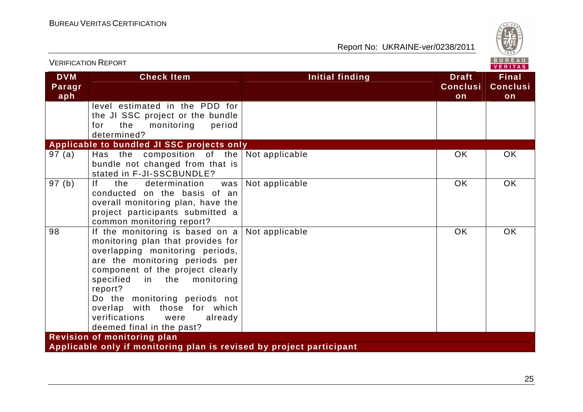

| <b>VERIFICATION REPORT</b>  |                                                                                                                                                                                                                                                                                                                                                                   |                        |                                       | BUREAU<br><b>VERITAS</b>              |
|-----------------------------|-------------------------------------------------------------------------------------------------------------------------------------------------------------------------------------------------------------------------------------------------------------------------------------------------------------------------------------------------------------------|------------------------|---------------------------------------|---------------------------------------|
| <b>DVM</b><br>Paragr<br>aph | <b>Check Item</b>                                                                                                                                                                                                                                                                                                                                                 | <b>Initial finding</b> | <b>Draft</b><br><b>Conclusi</b><br>on | <b>Final</b><br><b>Conclusi</b><br>on |
|                             | level estimated in the PDD for<br>the JI SSC project or the bundle<br>monitoring<br>period<br>the<br>for<br>determined?                                                                                                                                                                                                                                           |                        |                                       |                                       |
|                             | Applicable to bundled JI SSC projects only                                                                                                                                                                                                                                                                                                                        |                        |                                       |                                       |
| 97(a)                       | Has the composition of the<br>bundle not changed from that is<br>stated in F-JI-SSCBUNDLE?                                                                                                                                                                                                                                                                        | Not applicable         | <b>OK</b>                             | <b>OK</b>                             |
| 97(b)                       | If.<br>determination<br>the<br>was<br>conducted on the basis of an<br>overall monitoring plan, have the<br>project participants submitted a<br>common monitoring report?                                                                                                                                                                                          | Not applicable         | <b>OK</b>                             | <b>OK</b>                             |
| 98                          | If the monitoring is based on $a$<br>monitoring plan that provides for<br>overlapping monitoring periods,<br>are the monitoring periods per<br>component of the project clearly<br>specified<br>in the<br>monitoring<br>report?<br>Do the monitoring periods not<br>overlap with those for which<br>verifications<br>already<br>were<br>deemed final in the past? | Not applicable         | <b>OK</b>                             | <b>OK</b>                             |
|                             | <b>Revision of monitoring plan</b>                                                                                                                                                                                                                                                                                                                                |                        |                                       |                                       |
|                             | Applicable only if monitoring plan is revised by project participant                                                                                                                                                                                                                                                                                              |                        |                                       |                                       |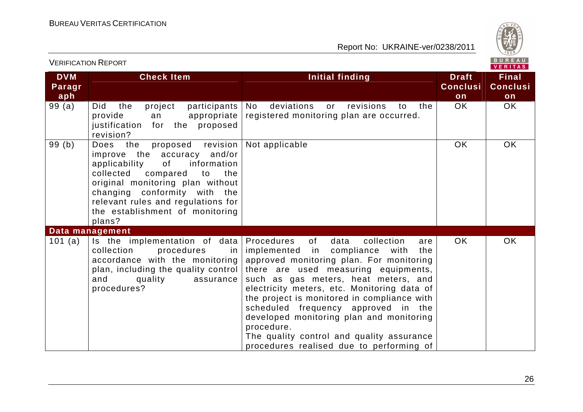

| <b>VERIFICATION REPORT</b>  |                                                                                                                                                                                                                                                                                                       |                                                                                                                                                                                                                                                                                                                                                                                                                                                                                                                  |                                       | BUREAU<br><b>VERITAS</b>              |
|-----------------------------|-------------------------------------------------------------------------------------------------------------------------------------------------------------------------------------------------------------------------------------------------------------------------------------------------------|------------------------------------------------------------------------------------------------------------------------------------------------------------------------------------------------------------------------------------------------------------------------------------------------------------------------------------------------------------------------------------------------------------------------------------------------------------------------------------------------------------------|---------------------------------------|---------------------------------------|
| <b>DVM</b><br>Paragr<br>aph | <b>Check Item</b>                                                                                                                                                                                                                                                                                     | Initial finding                                                                                                                                                                                                                                                                                                                                                                                                                                                                                                  | <b>Draft</b><br><b>Conclusi</b><br>on | <b>Final</b><br><b>Conclusi</b><br>on |
| 99(a)                       | the<br><b>Did</b><br>project<br>participants<br>provide<br>appropriate<br>an<br>justification<br>for the proposed<br>revision?                                                                                                                                                                        | No<br>deviations<br>revisions<br>the<br>or<br>to<br>registered monitoring plan are occurred.                                                                                                                                                                                                                                                                                                                                                                                                                     | <b>OK</b>                             | OK                                    |
| 99(b)                       | revision<br>Does<br>the<br>proposed<br>improve the accuracy and/or<br>information<br>applicability<br>of<br>collected<br>compared<br>the<br>to<br>original monitoring plan without<br>changing conformity with the<br>relevant rules and regulations for<br>the establishment of monitoring<br>plans? | Not applicable                                                                                                                                                                                                                                                                                                                                                                                                                                                                                                   | OK                                    | <b>OK</b>                             |
|                             | Data management                                                                                                                                                                                                                                                                                       |                                                                                                                                                                                                                                                                                                                                                                                                                                                                                                                  |                                       |                                       |
| 101 (a)                     | Is the implementation of data<br>procedures<br>collection<br>in<br>accordance with the monitoring<br>plan, including the quality control<br>and<br>quality<br>assurance<br>procedures?                                                                                                                | Procedures<br>of<br>collection<br>data<br>are<br>implemented<br>in compliance<br>with<br>the<br>approved monitoring plan. For monitoring<br>there are used measuring equipments,<br>such as gas meters, heat meters, and<br>electricity meters, etc. Monitoring data of<br>the project is monitored in compliance with<br>scheduled frequency approved in the<br>developed monitoring plan and monitoring<br>procedure.<br>The quality control and quality assurance<br>procedures realised due to performing of | OK.                                   | OK                                    |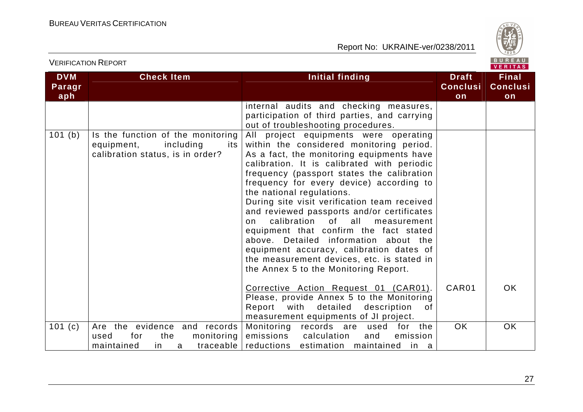

| <b>DVM</b><br>Paragr<br>aph | <b>Check Item</b>                                                                                           | <b>Initial finding</b>                                                                                                                                                                                                                                                                                                                                                                                                                                                                                                                                                                                                                                           | <b>Draft</b><br><b>Conclusi</b><br>on | <b>Final</b><br><b>Conclusi</b><br>on |
|-----------------------------|-------------------------------------------------------------------------------------------------------------|------------------------------------------------------------------------------------------------------------------------------------------------------------------------------------------------------------------------------------------------------------------------------------------------------------------------------------------------------------------------------------------------------------------------------------------------------------------------------------------------------------------------------------------------------------------------------------------------------------------------------------------------------------------|---------------------------------------|---------------------------------------|
|                             |                                                                                                             | internal audits and checking measures,<br>participation of third parties, and carrying<br>out of troubleshooting procedures.                                                                                                                                                                                                                                                                                                                                                                                                                                                                                                                                     |                                       |                                       |
| 101(b)                      | Is the function of the monitoring<br>equipment,<br>including<br>its I<br>calibration status, is in order?   | All project equipments were operating<br>within the considered monitoring period.<br>As a fact, the monitoring equipments have<br>calibration. It is calibrated with periodic<br>frequency (passport states the calibration<br>frequency for every device) according to<br>the national regulations.<br>During site visit verification team received<br>and reviewed passports and/or certificates<br>calibration of all measurement<br>on<br>equipment that confirm the fact stated<br>above. Detailed information about the<br>equipment accuracy, calibration dates of<br>the measurement devices, etc. is stated in<br>the Annex 5 to the Monitoring Report. |                                       |                                       |
|                             |                                                                                                             | Corrective Action Request 01 (CAR01).<br>Please, provide Annex 5 to the Monitoring<br>Report with<br>detailed<br>description<br>of<br>measurement equipments of JI project.                                                                                                                                                                                                                                                                                                                                                                                                                                                                                      | CAR01                                 | OK.                                   |
| 101 $(c)$                   | Are the evidence and records<br>monitoring<br>the<br>used<br>for<br>traceable $ $<br>maintained<br>in.<br>a | Monitoring records are used<br>for the<br>emissions<br>calculation<br>emission<br>and<br>reductions estimation maintained<br>in a                                                                                                                                                                                                                                                                                                                                                                                                                                                                                                                                | <b>OK</b>                             | <b>OK</b>                             |

VERIFICATION REPORT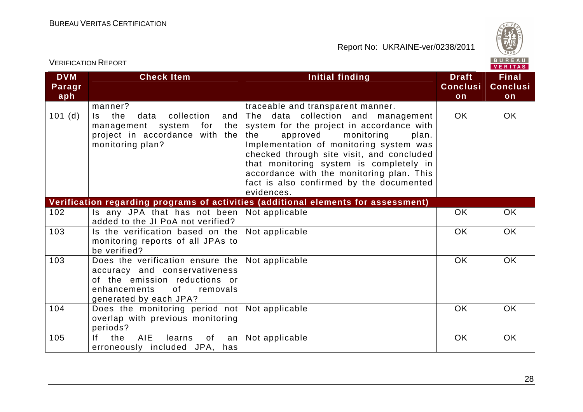VERIFICATION REPORT



| <b>DVM</b><br>Paragr<br>aph | <b>Check Item</b>                                                                                                                                              | <b>Initial finding</b>                                                                                                                                                                                                                                                                                                                                              | <b>Draft</b><br><b>Conclusi</b><br>on | <b>Final</b><br><b>Conclusi</b><br>on |
|-----------------------------|----------------------------------------------------------------------------------------------------------------------------------------------------------------|---------------------------------------------------------------------------------------------------------------------------------------------------------------------------------------------------------------------------------------------------------------------------------------------------------------------------------------------------------------------|---------------------------------------|---------------------------------------|
|                             | manner?                                                                                                                                                        | traceable and transparent manner.                                                                                                                                                                                                                                                                                                                                   |                                       |                                       |
| 101(d)                      | the<br>collection<br>Is.<br>data<br>and<br>management system<br>for<br>the<br>project in accordance with the<br>monitoring plan?                               | The data collection and management<br>system for the project in accordance with<br>the<br>approved<br>monitoring<br>plan.<br>Implementation of monitoring system was<br>checked through site visit, and concluded<br>that monitoring system is completely in<br>accordance with the monitoring plan. This<br>fact is also confirmed by the documented<br>evidences. | <b>OK</b>                             | OK                                    |
|                             |                                                                                                                                                                | Verification regarding programs of activities (additional elements for assessment)                                                                                                                                                                                                                                                                                  |                                       |                                       |
| 102                         | Is any JPA that has not been<br>added to the JI PoA not verified?                                                                                              | Not applicable                                                                                                                                                                                                                                                                                                                                                      | OK                                    | OK                                    |
| 103                         | Is the verification based on the<br>monitoring reports of all JPAs to<br>be verified?                                                                          | Not applicable                                                                                                                                                                                                                                                                                                                                                      | <b>OK</b>                             | <b>OK</b>                             |
| 103                         | Does the verification ensure the<br>accuracy and conservativeness<br>of the emission reductions or<br>enhancements<br>of<br>removals<br>generated by each JPA? | Not applicable                                                                                                                                                                                                                                                                                                                                                      | <b>OK</b>                             | <b>OK</b>                             |
| 104                         | Does the monitoring period not<br>overlap with previous monitoring<br>periods?                                                                                 | Not applicable                                                                                                                                                                                                                                                                                                                                                      | OK                                    | <b>OK</b>                             |
| 105                         | <b>AIE</b><br>lf -<br>the<br>learns<br>of<br>an<br>erroneously included JPA, has                                                                               | Not applicable                                                                                                                                                                                                                                                                                                                                                      | OK                                    | OK                                    |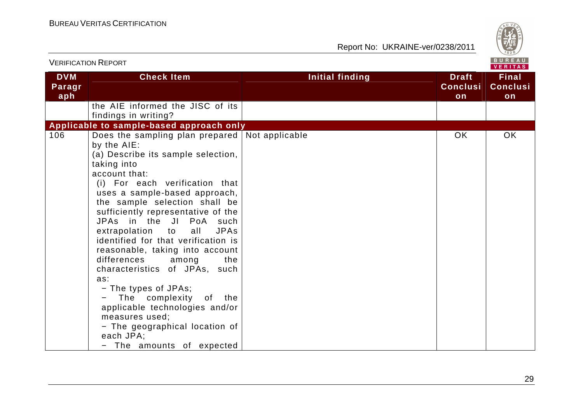

|                             | <b>VERIFICATION REPORT</b>                                                                                                                                                                                                                                                                                                                                                                                                                                                                                                                                                                                                                                                           |                        | BUREAU<br><b>VERITAS</b>              |                                       |
|-----------------------------|--------------------------------------------------------------------------------------------------------------------------------------------------------------------------------------------------------------------------------------------------------------------------------------------------------------------------------------------------------------------------------------------------------------------------------------------------------------------------------------------------------------------------------------------------------------------------------------------------------------------------------------------------------------------------------------|------------------------|---------------------------------------|---------------------------------------|
| <b>DVM</b><br>Paragr<br>aph | <b>Check Item</b>                                                                                                                                                                                                                                                                                                                                                                                                                                                                                                                                                                                                                                                                    | <b>Initial finding</b> | <b>Draft</b><br><b>Conclusi</b><br>on | <b>Final</b><br><b>Conclusi</b><br>on |
|                             | the AIE informed the JISC of its<br>findings in writing?                                                                                                                                                                                                                                                                                                                                                                                                                                                                                                                                                                                                                             |                        |                                       |                                       |
| 106                         | Applicable to sample-based approach only                                                                                                                                                                                                                                                                                                                                                                                                                                                                                                                                                                                                                                             |                        | <b>OK</b>                             | OK                                    |
|                             | Does the sampling plan prepared Not applicable<br>by the AIE:<br>(a) Describe its sample selection,<br>taking into<br>account that:<br>(i) For each verification that<br>uses a sample-based approach,<br>the sample selection shall be<br>sufficiently representative of the<br>JPAs in the JI PoA such<br>extrapolation to<br><b>JPAs</b><br>all<br>identified for that verification is<br>reasonable, taking into account<br>differences<br>the<br>among<br>characteristics of JPAs, such<br>as:<br>- The types of JPAs;<br>The complexity of the<br>applicable technologies and/or<br>measures used;<br>- The geographical location of<br>each JPA;<br>- The amounts of expected |                        |                                       |                                       |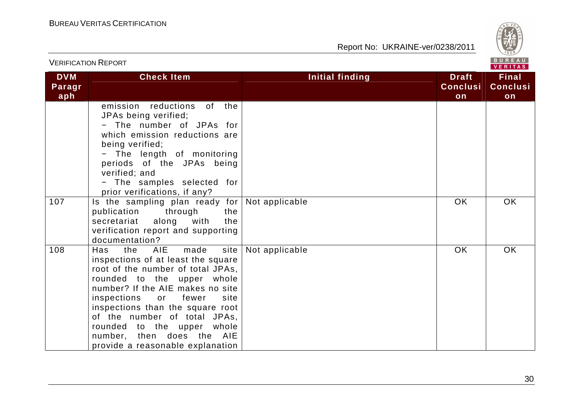

| <b>VERIFICATION REPORT</b>  |                                                                                                                                                                                                                                                                                                                                                                                           | BUREAU<br><b>VERITAS</b> |                                       |                                       |  |
|-----------------------------|-------------------------------------------------------------------------------------------------------------------------------------------------------------------------------------------------------------------------------------------------------------------------------------------------------------------------------------------------------------------------------------------|--------------------------|---------------------------------------|---------------------------------------|--|
| <b>DVM</b><br>Paragr<br>aph | <b>Check Item</b>                                                                                                                                                                                                                                                                                                                                                                         | <b>Initial finding</b>   | <b>Draft</b><br><b>Conclusi</b><br>on | <b>Final</b><br><b>Conclusi</b><br>on |  |
|                             | emission reductions<br>of .<br>the<br>JPAs being verified;<br>- The number of JPAs for<br>which emission reductions are<br>being verified;<br>- The length of monitoring<br>periods of the JPAs being<br>verified; and<br>- The samples selected for<br>prior verifications, if any?                                                                                                      |                          |                                       |                                       |  |
| 107                         | Is the sampling plan ready for Not applicable<br>publication<br>through<br>the<br>with<br>secretariat<br>along<br>the<br>verification report and supporting<br>documentation?                                                                                                                                                                                                             |                          | <b>OK</b>                             | OK                                    |  |
| 108                         | AIE<br>made<br>site  <br>the<br>Has<br>inspections of at least the square<br>root of the number of total JPAs,<br>rounded to the upper whole<br>number? If the AIE makes no site<br>inspections<br>fewer<br>site<br>or<br>inspections than the square root<br>of the number of total JPAs,<br>rounded to the upper whole<br>number, then does the AIE<br>provide a reasonable explanation | Not applicable           | <b>OK</b>                             | <b>OK</b>                             |  |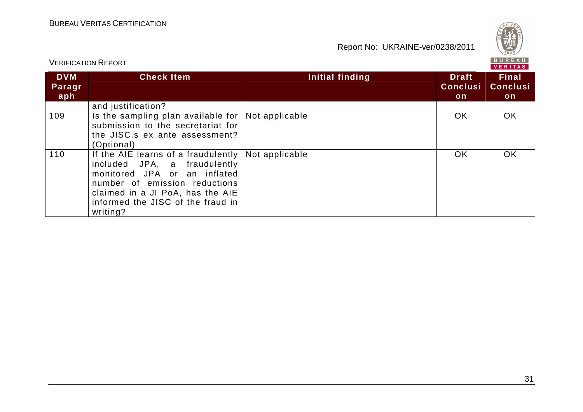

|                             |                                                                                                                                                                                                                                                  |                 |                                        | V E K I I A S                          |  |  |
|-----------------------------|--------------------------------------------------------------------------------------------------------------------------------------------------------------------------------------------------------------------------------------------------|-----------------|----------------------------------------|----------------------------------------|--|--|
| <b>DVM</b><br>Paragr<br>aph | <b>Check Item</b>                                                                                                                                                                                                                                | Initial finding | <b>Draft</b><br><b>Conclusi</b><br>on. | <b>Final</b><br><b>Conclusi</b><br>on. |  |  |
|                             | and justification?                                                                                                                                                                                                                               |                 |                                        |                                        |  |  |
| 109                         | Is the sampling plan available for   Not applicable<br>submission to the secretariat for<br>the JISC.s ex ante assessment?<br>(Optional)                                                                                                         |                 | OK.                                    | <b>OK</b>                              |  |  |
| 110                         | If the AIE learns of a fraudulently $\vert$ Not applicable<br>included JPA, a fraudulently<br>monitored JPA or an inflated<br>number of emission reductions<br>claimed in a JI PoA, has the AIE<br>informed the JISC of the fraud in<br>writing? |                 | OK.                                    | OK.                                    |  |  |

VERIFICATION REPORT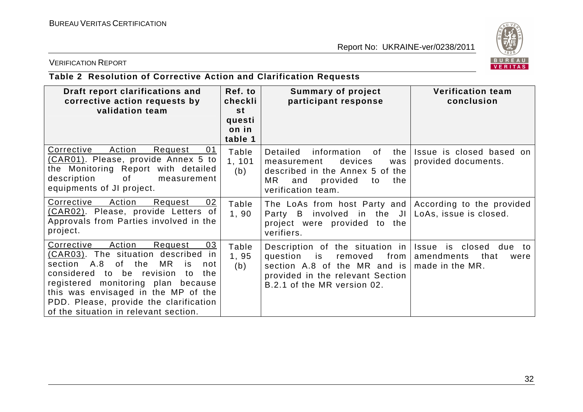

## VERIFICATION REPORT

# **Table 2 Resolution of Corrective Action and Clarification Requests**

| Draft report clarifications and<br>corrective action requests by<br>validation team                                                                                                                                                                                                                                                      | Ref. to<br>checkli<br><b>st</b> | <b>Summary of project</b><br>participant response                                                                                                                  | <b>Verification team</b><br>conclusion                                               |
|------------------------------------------------------------------------------------------------------------------------------------------------------------------------------------------------------------------------------------------------------------------------------------------------------------------------------------------|---------------------------------|--------------------------------------------------------------------------------------------------------------------------------------------------------------------|--------------------------------------------------------------------------------------|
|                                                                                                                                                                                                                                                                                                                                          | questi<br>on in<br>table 1      |                                                                                                                                                                    |                                                                                      |
| Corrective<br>Action<br>Request<br>01<br>(CAR01). Please, provide Annex 5 to<br>the Monitoring Report with detailed<br>description<br>of<br>measurement<br>equipments of JI project.                                                                                                                                                     | Table<br>1, 101<br>(b)          | Detailed<br>information of<br>the<br>devices<br>measurement<br>was<br>described in the Annex 5 of the<br>MR.<br>provided<br>and<br>the<br>to<br>verification team. | Issue is closed based on<br>provided documents.                                      |
| Corrective<br>Action<br>Request<br>02<br>(CAR02). Please, provide Letters of<br>Approvals from Parties involved in the<br>project.                                                                                                                                                                                                       | Table<br>1,90                   | The LoAs from host Party and According to the provided<br>Party B involved in the JI LoAs, issue is closed.<br>project were provided to the<br>verifiers.          |                                                                                      |
| Action<br>Corrective<br>Request<br>03<br>(CAR03). The situation described<br>in<br>section A.8<br>of the<br>MR<br>is<br>not<br>considered<br>to be revision<br>the<br>to<br>registered monitoring plan because<br>this was envisaged in the MP of the<br>PDD. Please, provide the clarification<br>of the situation in relevant section. | Table<br>1,95<br>(b)            | Description of the situation in<br>question<br>is<br>removed<br>section A.8 of the MR and is<br>provided in the relevant Section<br>B.2.1 of the MR version 02.    | Issue<br>is closed due<br>to<br>from   amendments<br>that<br>were<br>made in the MR. |